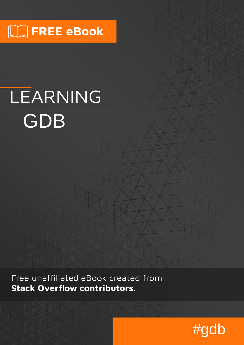# $\Box$  FREE eBook

# LEARNING GDB

Free unaffiliated eBook created from **Stack Overflow contributors.** 

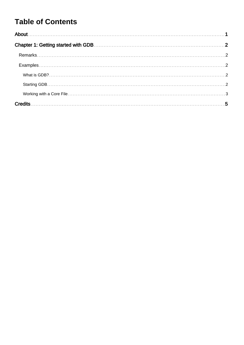## **Table of Contents**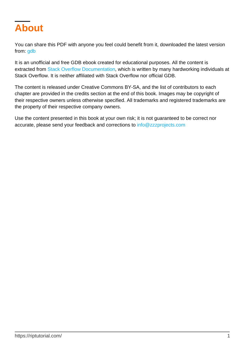<span id="page-2-0"></span>

You can share this PDF with anyone you feel could benefit from it, downloaded the latest version from: [gdb](http://riptutorial.com/ebook/gdb)

It is an unofficial and free GDB ebook created for educational purposes. All the content is extracted from [Stack Overflow Documentation,](https://archive.org/details/documentation-dump.7z) which is written by many hardworking individuals at Stack Overflow. It is neither affiliated with Stack Overflow nor official GDB.

The content is released under Creative Commons BY-SA, and the list of contributors to each chapter are provided in the credits section at the end of this book. Images may be copyright of their respective owners unless otherwise specified. All trademarks and registered trademarks are the property of their respective company owners.

Use the content presented in this book at your own risk; it is not guaranteed to be correct nor accurate, please send your feedback and corrections to [info@zzzprojects.com](mailto:info@zzzprojects.com)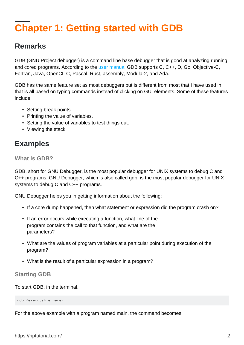# <span id="page-3-0"></span>**Chapter 1: Getting started with GDB**

### <span id="page-3-1"></span>**Remarks**

GDB (GNU Project debugger) is a command line base debugger that is good at analyzing running and cored programs. According to the [user manual](https://sourceware.org/gdb/current/onlinedocs/gdb/Supported-Languages.html#Supported-Languages) GDB supports C, C++, D, Go, Objective-C, Fortran, Java, OpenCL C, Pascal, Rust, assembly, Modula-2, and Ada.

GDB has the same feature set as most debuggers but is different from most that I have used in that is all based on typing commands instead of clicking on GUI elements. Some of these features include:

- Setting break points
- Printing the value of variables.
- Setting the value of variables to test things out.
- Viewing the stack

## <span id="page-3-2"></span>**Examples**

<span id="page-3-3"></span>**What is GDB?**

GDB, short for GNU Debugger, is the most popular debugger for UNIX systems to debug C and C++ programs. GNU Debugger, which is also called gdb, is the most popular debugger for UNIX systems to debug C and C++ programs.

GNU Debugger helps you in getting information about the following:

- If a core dump happened, then what statement or expression did the program crash on?
- If an error occurs while executing a function, what line of the program contains the call to that function, and what are the parameters?
- What are the values of program variables at a particular point during execution of the program?
- What is the result of a particular expression in a program?

#### <span id="page-3-4"></span>**Starting GDB**

To start GDB, in the terminal,

gdb <executable name>

For the above example with a program named main, the command becomes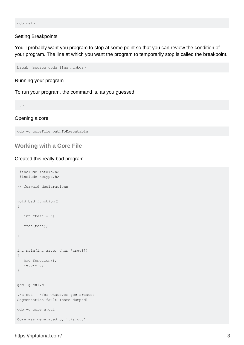gdb main

#### Setting Breakpoints

You'll probably want you program to stop at some point so that you can review the condition of your program. The line at which you want the program to temporarily stop is called the breakpoint.

break <source code line number>

Running your program

To run your program, the command is, as you guessed,

run

#### Opening a core

```
gdb -c coreFile pathToExecutable
```
#### <span id="page-4-0"></span>**Working with a Core File**

#### Created this really bad program

```
 #include <stdio.h>
  #include <ctype.h>
// forward declarations
void bad_function()
{
   int *test = 5; free(test);
}
int main(int argc, char *argv[])
{
   bad_function();
    return 0;
}
gcc -g ex1.c
./a.out //or whatever gcc creates
Segmentation fault (core dumped)
gdb -c core a.out
Core was generated by `./a.out'.
```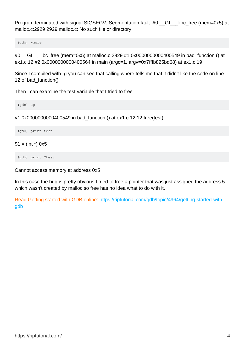Program terminated with signal SIGSEGV, Segmentation fault. #0 Colsumble (mem=0x5) at malloc.c:2929 2929 malloc.c: No such file or directory.

(gdb) where

#0 \_\_GI\_\_\_libc\_free (mem=0x5) at malloc.c:2929 #1 0x0000000000400549 in bad\_function () at ex1.c:12 #2 0x0000000000400564 in main (argc=1, argv=0x7fffb825bd68) at ex1.c:19

Since I compiled with -g you can see that calling where tells me that it didn't like the code on line 12 of bad\_function()

Then I can examine the test variable that I tried to free

(gdb) up

#1 0x0000000000400549 in bad\_function () at ex1.c:12 12 free(test);

(gdb) print test

#### $$1 = (int^*)$  0x5

(gdb) print \*test

Cannot access memory at address 0x5

In this case the bug is pretty obvious I tried to free a pointer that was just assigned the address 5 which wasn't created by malloc so free has no idea what to do with it.

Read Getting started with GDB online: [https://riptutorial.com/gdb/topic/4964/getting-started-with](https://riptutorial.com/gdb/topic/4964/getting-started-with-gdb)[gdb](https://riptutorial.com/gdb/topic/4964/getting-started-with-gdb)